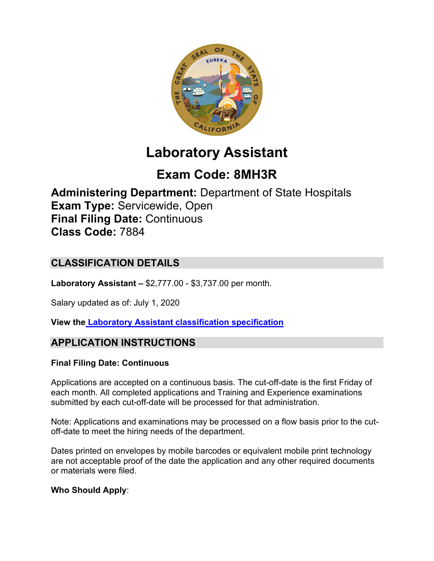

# **Laboratory Assistant**

# **Exam Code: 8MH3R**

**Administering Department:** Department of State Hospitals **Exam Type:** Servicewide, Open **Final Filing Date:** Continuous **Class Code:** 7884

# **CLASSIFICATION DETAILS**

**Laboratory Assistant –** \$2,777.00 - \$3,737.00 per month.

Salary updated as of: July 1, 2020

**View the [Laboratory Assistant classification specification](https://www.calhr.ca.gov/state-hr-professionals/pages/7884.aspx)**

# **APPLICATION INSTRUCTIONS**

#### **Final Filing Date: Continuous**

Applications are accepted on a continuous basis. The cut-off-date is the first Friday of each month. All completed applications and Training and Experience examinations submitted by each cut-off-date will be processed for that administration.

Note: Applications and examinations may be processed on a flow basis prior to the cutoff-date to meet the hiring needs of the department.

Dates printed on envelopes by mobile barcodes or equivalent mobile print technology are not acceptable proof of the date the application and any other required documents or materials were filed.

#### **Who Should Apply**: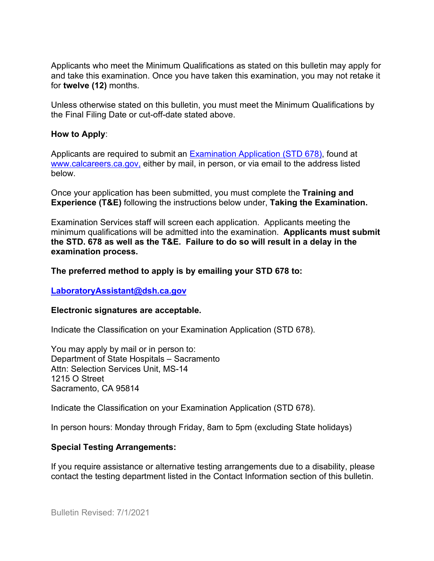Applicants who meet the Minimum Qualifications as stated on this bulletin may apply for and take this examination. Once you have taken this examination, you may not retake it for **twelve (12)** months.

Unless otherwise stated on this bulletin, you must meet the Minimum Qualifications by the Final Filing Date or cut-off-date stated above.

#### **How to Apply**:

Applicants are required to submit an [Examination Application \(STD 678\),](https://jobs.ca.gov/pdf/std678.pdf) found at [www.calcareers.ca.gov,](http://www.calcareers.ca.gov/) either by mail, in person, or via email to the address listed below.

Once your application has been submitted, you must complete the **Training and Experience (T&E)** following the instructions below under, **Taking the Examination.**

Examination Services staff will screen each application. Applicants meeting the minimum qualifications will be admitted into the examination. **Applicants must submit the STD. 678 as well as the T&E. Failure to do so will result in a delay in the examination process.**

#### **The preferred method to apply is by emailing your STD 678 to:**

#### **[LaboratoryAssistant@dsh.ca.gov](mailto:LaboratoryAssistant@dsh.ca.gov)**

#### **Electronic signatures are acceptable.**

Indicate the Classification on your Examination Application (STD 678).

You may apply by mail or in person to: Department of State Hospitals – Sacramento Attn: Selection Services Unit, MS-14 1215 O Street Sacramento, CA 95814

Indicate the Classification on your Examination Application (STD 678).

In person hours: Monday through Friday, 8am to 5pm (excluding State holidays)

#### **Special Testing Arrangements:**

If you require assistance or alternative testing arrangements due to a disability, please contact the testing department listed in the Contact Information section of this bulletin.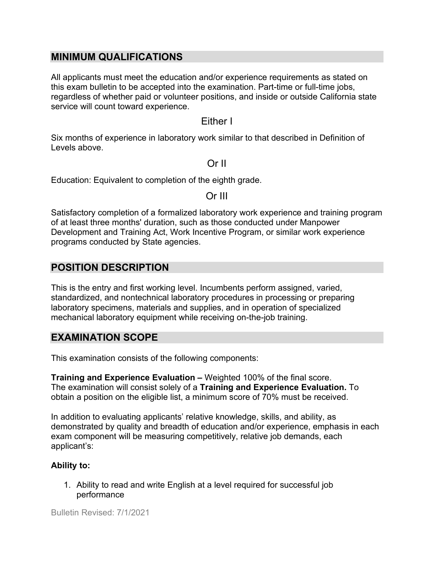### **MINIMUM QUALIFICATIONS**

All applicants must meet the education and/or experience requirements as stated on this exam bulletin to be accepted into the examination. Part-time or full-time jobs, regardless of whether paid or volunteer positions, and inside or outside California state service will count toward experience.

#### Either I

Six months of experience in laboratory work similar to that described in Definition of Levels above.

#### Or II

Education: Equivalent to completion of the eighth grade.

Or III

Satisfactory completion of a formalized laboratory work experience and training program of at least three months' duration, such as those conducted under Manpower Development and Training Act, Work Incentive Program, or similar work experience programs conducted by State agencies.

## **POSITION DESCRIPTION**

This is the entry and first working level. Incumbents perform assigned, varied, standardized, and nontechnical laboratory procedures in processing or preparing laboratory specimens, materials and supplies, and in operation of specialized mechanical laboratory equipment while receiving on-the-job training.

## **EXAMINATION SCOPE**

This examination consists of the following components:

**Training and Experience Evaluation –** Weighted 100% of the final score. The examination will consist solely of a **Training and Experience Evaluation.** To obtain a position on the eligible list, a minimum score of 70% must be received.

In addition to evaluating applicants' relative knowledge, skills, and ability, as demonstrated by quality and breadth of education and/or experience, emphasis in each exam component will be measuring competitively, relative job demands, each applicant's:

#### **Ability to:**

1. Ability to read and write English at a level required for successful job performance

Bulletin Revised: 7/1/2021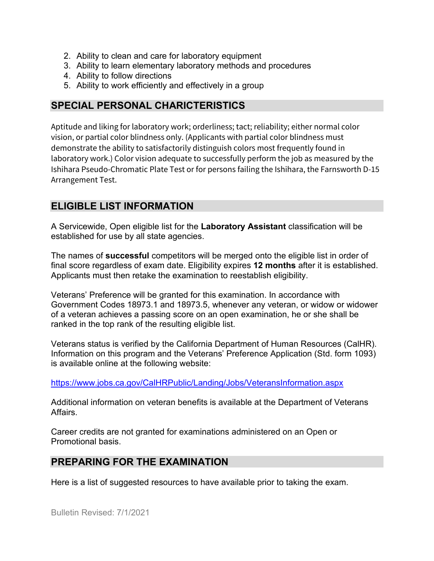- 2. Ability to clean and care for laboratory equipment
- 3. Ability to learn elementary laboratory methods and procedures
- 4. Ability to follow directions
- 5. Ability to work efficiently and effectively in a group

## **SPECIAL PERSONAL CHARICTERISTICS**

Aptitude and liking for laboratory work; orderliness; tact; reliability; either normal color vision, or partial color blindness only. (Applicants with partial color blindness must demonstrate the ability to satisfactorily distinguish colors most frequently found in laboratory work.) Color vision adequate to successfully perform the job as measured by the Ishihara Pseudo-Chromatic Plate Test or for persons failing the Ishihara, the Farnsworth D-15 Arrangement Test.

## **ELIGIBLE LIST INFORMATION**

A Servicewide, Open eligible list for the **Laboratory Assistant** classification will be established for use by all state agencies.

The names of **successful** competitors will be merged onto the eligible list in order of final score regardless of exam date. Eligibility expires **12 months** after it is established. Applicants must then retake the examination to reestablish eligibility.

Veterans' Preference will be granted for this examination. In accordance with Government Codes 18973.1 and 18973.5, whenever any veteran, or widow or widower of a veteran achieves a passing score on an open examination, he or she shall be ranked in the top rank of the resulting eligible list.

Veterans status is verified by the California Department of Human Resources (CalHR). Information on this program and the Veterans' Preference Application (Std. form 1093) is available online at the following website:

<https://www.jobs.ca.gov/CalHRPublic/Landing/Jobs/VeteransInformation.aspx>

Additional information on veteran benefits is available at the Department of Veterans Affairs.

Career credits are not granted for examinations administered on an Open or Promotional basis.

# **PREPARING FOR THE EXAMINATION**

Here is a list of suggested resources to have available prior to taking the exam.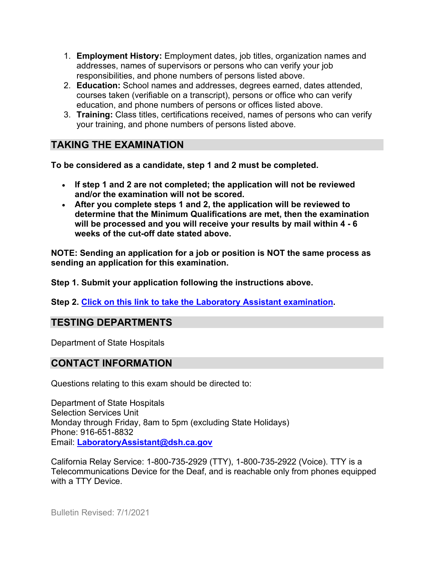- 1. **Employment History:** Employment dates, job titles, organization names and addresses, names of supervisors or persons who can verify your job responsibilities, and phone numbers of persons listed above.
- 2. **Education:** School names and addresses, degrees earned, dates attended, courses taken (verifiable on a transcript), persons or office who can verify education, and phone numbers of persons or offices listed above.
- 3. **Training:** Class titles, certifications received, names of persons who can verify your training, and phone numbers of persons listed above.

# **TAKING THE EXAMINATION**

**To be considered as a candidate, step 1 and 2 must be completed.**

- **If step 1 and 2 are not completed; the application will not be reviewed and/or the examination will not be scored.**
- **After you complete steps 1 and 2, the application will be reviewed to determine that the Minimum Qualifications are met, then the examination will be processed and you will receive your results by mail within 4 - 6 weeks of the cut-off date stated above.**

**NOTE: Sending an application for a job or position is NOT the same process as sending an application for this examination.**

**Step 1. Submit your application following the instructions above.**

**Step 2. [Click on this link to take the](https://www.surveymonkey.com/r/HPYQXN7) Laboratory Assistant examination.**

# **TESTING DEPARTMENTS**

Department of State Hospitals

## **CONTACT INFORMATION**

Questions relating to this exam should be directed to:

Department of State Hospitals Selection Services Unit Monday through Friday, 8am to 5pm (excluding State Holidays) Phone: 916-651-8832 Email: **[LaboratoryAssistant@dsh.ca.gov](mailto:LaboratoryAssistant@dsh.ca.gov)**

California Relay Service: 1-800-735-2929 (TTY), 1-800-735-2922 (Voice). TTY is a Telecommunications Device for the Deaf, and is reachable only from phones equipped with a TTY Device.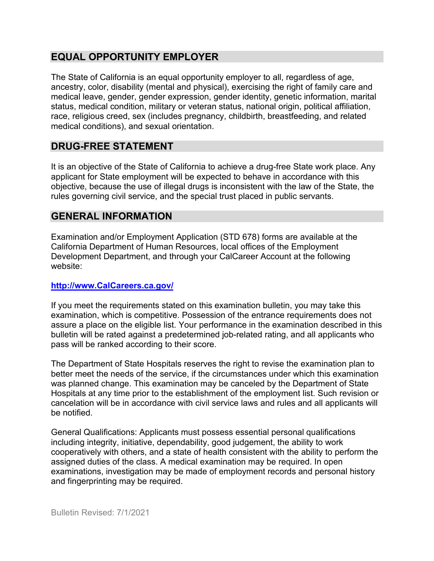# **EQUAL OPPORTUNITY EMPLOYER**

The State of California is an equal opportunity employer to all, regardless of age, ancestry, color, disability (mental and physical), exercising the right of family care and medical leave, gender, gender expression, gender identity, genetic information, marital status, medical condition, military or veteran status, national origin, political affiliation, race, religious creed, sex (includes pregnancy, childbirth, breastfeeding, and related medical conditions), and sexual orientation.

# **DRUG-FREE STATEMENT**

It is an objective of the State of California to achieve a drug-free State work place. Any applicant for State employment will be expected to behave in accordance with this objective, because the use of illegal drugs is inconsistent with the law of the State, the rules governing civil service, and the special trust placed in public servants.

# **GENERAL INFORMATION**

Examination and/or Employment Application (STD 678) forms are available at the California Department of Human Resources, local offices of the Employment Development Department, and through your CalCareer Account at the following website:

#### **[http://www.CalCareers.ca.gov/](http://www.calcareers.ca.gov/)**

If you meet the requirements stated on this examination bulletin, you may take this examination, which is competitive. Possession of the entrance requirements does not assure a place on the eligible list. Your performance in the examination described in this bulletin will be rated against a predetermined job-related rating, and all applicants who pass will be ranked according to their score.

The Department of State Hospitals reserves the right to revise the examination plan to better meet the needs of the service, if the circumstances under which this examination was planned change. This examination may be canceled by the Department of State Hospitals at any time prior to the establishment of the employment list. Such revision or cancelation will be in accordance with civil service laws and rules and all applicants will be notified.

General Qualifications: Applicants must possess essential personal qualifications including integrity, initiative, dependability, good judgement, the ability to work cooperatively with others, and a state of health consistent with the ability to perform the assigned duties of the class. A medical examination may be required. In open examinations, investigation may be made of employment records and personal history and fingerprinting may be required.